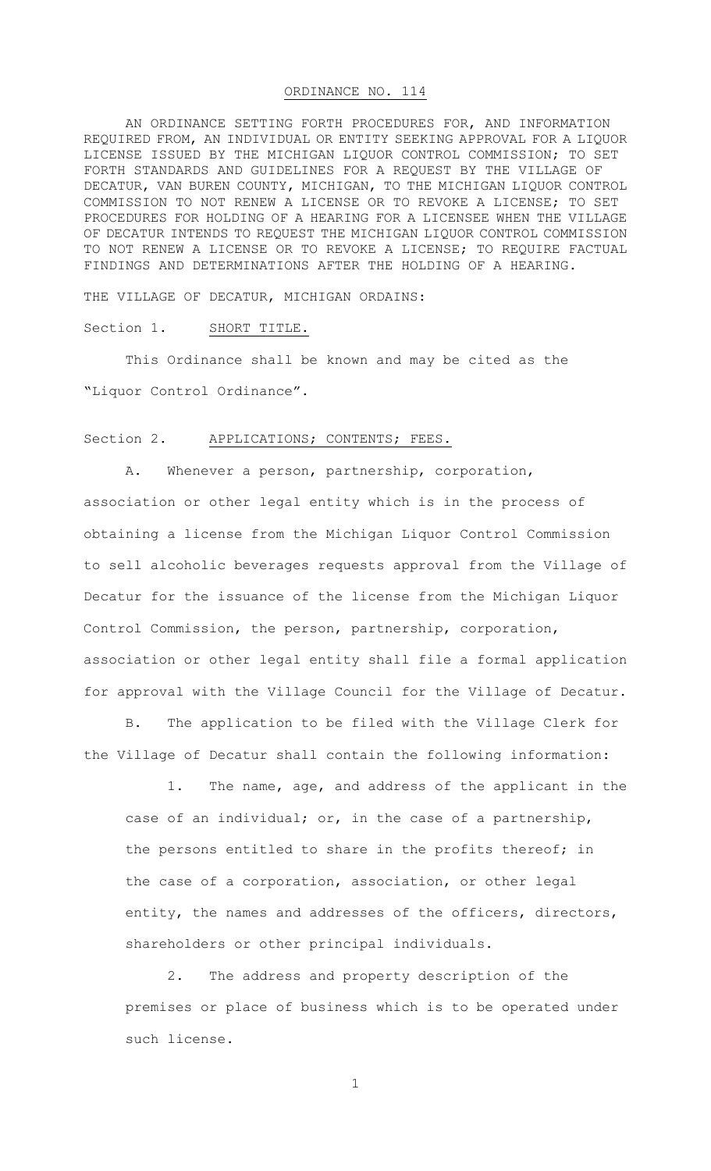## ORDINANCE NO. 114

AN ORDINANCE SETTING FORTH PROCEDURES FOR, AND INFORMATION REQUIRED FROM, AN INDIVIDUAL OR ENTITY SEEKING APPROVAL FOR A LIQUOR LICENSE ISSUED BY THE MICHIGAN LIQUOR CONTROL COMMISSION; TO SET FORTH STANDARDS AND GUIDELINES FOR A REQUEST BY THE VILLAGE OF DECATUR, VAN BUREN COUNTY, MICHIGAN, TO THE MICHIGAN LIQUOR CONTROL COMMISSION TO NOT RENEW A LICENSE OR TO REVOKE A LICENSE; TO SET PROCEDURES FOR HOLDING OF A HEARING FOR A LICENSEE WHEN THE VILLAGE OF DECATUR INTENDS TO REQUEST THE MICHIGAN LIQUOR CONTROL COMMISSION TO NOT RENEW A LICENSE OR TO REVOKE A LICENSE; TO REQUIRE FACTUAL FINDINGS AND DETERMINATIONS AFTER THE HOLDING OF A HEARING.

THE VILLAGE OF DECATUR, MICHIGAN ORDAINS:

### Section 1. SHORT TITLE.

This Ordinance shall be known and may be cited as the "Liquor Control Ordinance".

#### Section 2. APPLICATIONS; CONTENTS; FEES.

A. Whenever a person, partnership, corporation, association or other legal entity which is in the process of obtaining a license from the Michigan Liquor Control Commission to sell alcoholic beverages requests approval from the Village of Decatur for the issuance of the license from the Michigan Liquor Control Commission, the person, partnership, corporation, association or other legal entity shall file a formal application for approval with the Village Council for the Village of Decatur.

B. The application to be filed with the Village Clerk for the Village of Decatur shall contain the following information:

1. The name, age, and address of the applicant in the case of an individual; or, in the case of a partnership, the persons entitled to share in the profits thereof; in the case of a corporation, association, or other legal entity, the names and addresses of the officers, directors, shareholders or other principal individuals.

2. The address and property description of the premises or place of business which is to be operated under such license.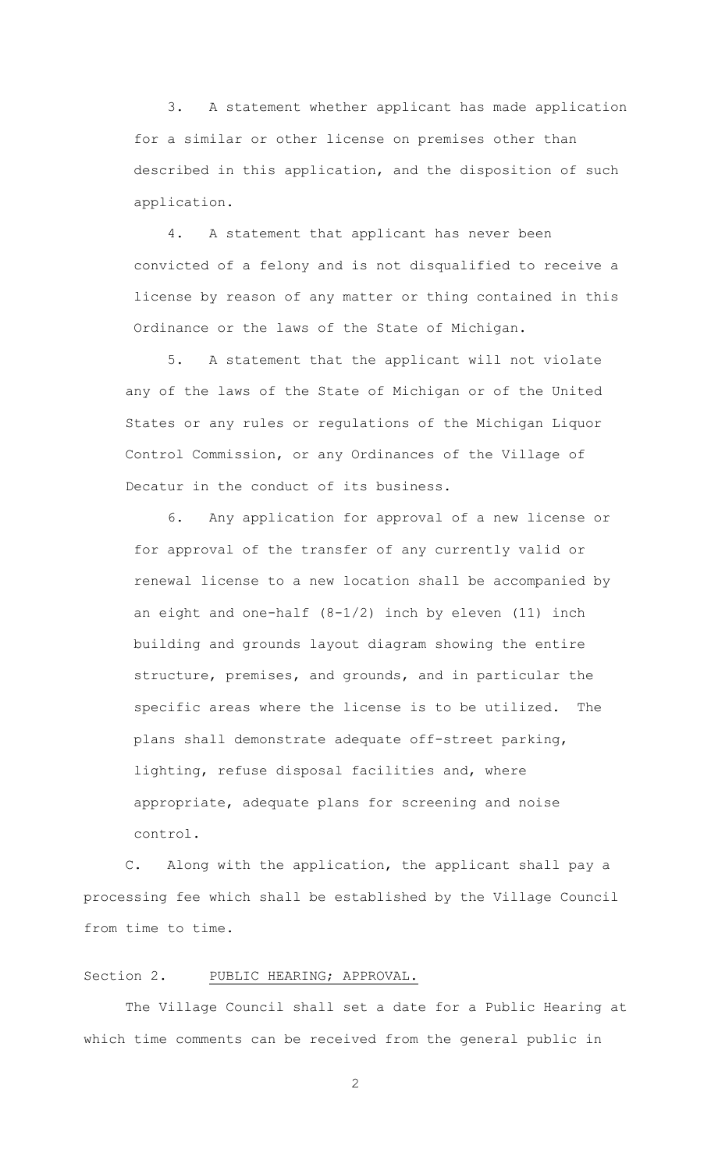3. A statement whether applicant has made application for a similar or other license on premises other than described in this application, and the disposition of such application.

4. A statement that applicant has never been convicted of a felony and is not disqualified to receive a license by reason of any matter or thing contained in this Ordinance or the laws of the State of Michigan.

5. A statement that the applicant will not violate any of the laws of the State of Michigan or of the United States or any rules or regulations of the Michigan Liquor Control Commission, or any Ordinances of the Village of Decatur in the conduct of its business.

6. Any application for approval of a new license or for approval of the transfer of any currently valid or renewal license to a new location shall be accompanied by an eight and one-half (8-1/2) inch by eleven (11) inch building and grounds layout diagram showing the entire structure, premises, and grounds, and in particular the specific areas where the license is to be utilized. The plans shall demonstrate adequate off-street parking, lighting, refuse disposal facilities and, where appropriate, adequate plans for screening and noise control.

C. Along with the application, the applicant shall pay a processing fee which shall be established by the Village Council from time to time.

## Section 2. PUBLIC HEARING; APPROVAL.

The Village Council shall set a date for a Public Hearing at which time comments can be received from the general public in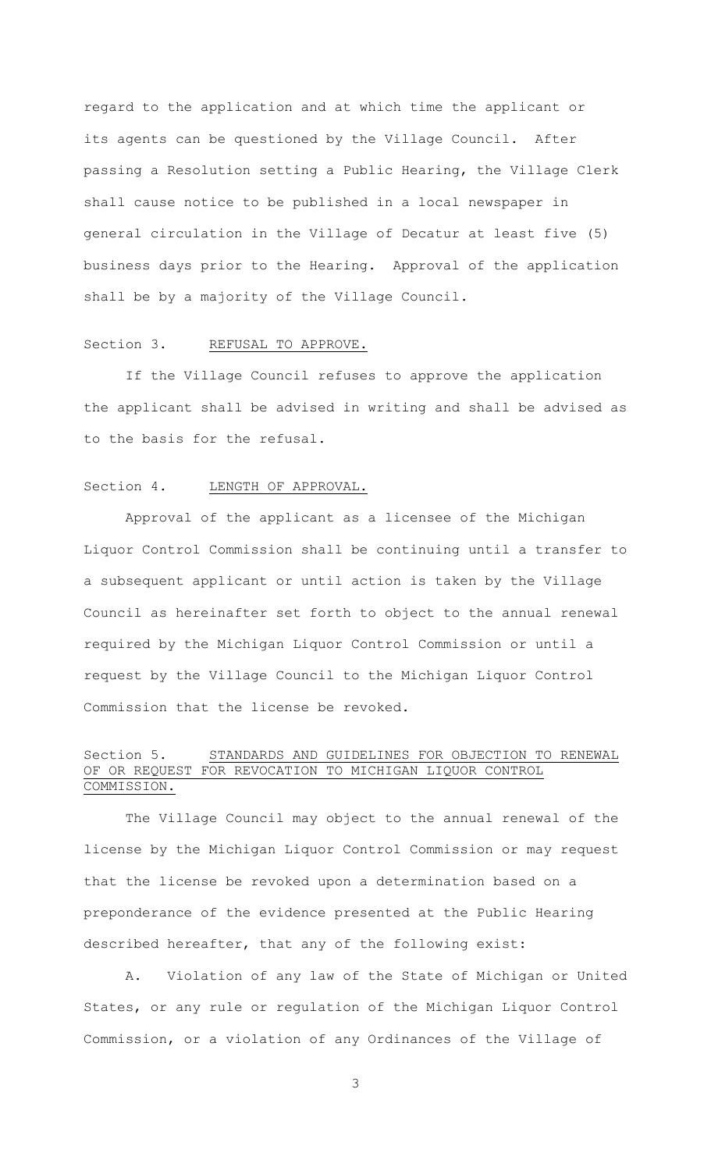regard to the application and at which time the applicant or its agents can be questioned by the Village Council. After passing a Resolution setting a Public Hearing, the Village Clerk shall cause notice to be published in a local newspaper in general circulation in the Village of Decatur at least five (5) business days prior to the Hearing. Approval of the application shall be by a majority of the Village Council.

### Section 3. REFUSAL TO APPROVE.

If the Village Council refuses to approve the application the applicant shall be advised in writing and shall be advised as to the basis for the refusal.

## Section 4. LENGTH OF APPROVAL.

Approval of the applicant as a licensee of the Michigan Liquor Control Commission shall be continuing until a transfer to a subsequent applicant or until action is taken by the Village Council as hereinafter set forth to object to the annual renewal required by the Michigan Liquor Control Commission or until a request by the Village Council to the Michigan Liquor Control Commission that the license be revoked.

# Section 5. STANDARDS AND GUIDELINES FOR OBJECTION TO RENEWAL OF OR REQUEST FOR REVOCATION TO MICHIGAN LIQUOR CONTROL COMMISSION.

The Village Council may object to the annual renewal of the license by the Michigan Liquor Control Commission or may request that the license be revoked upon a determination based on a preponderance of the evidence presented at the Public Hearing described hereafter, that any of the following exist:

A. Violation of any law of the State of Michigan or United States, or any rule or regulation of the Michigan Liquor Control Commission, or a violation of any Ordinances of the Village of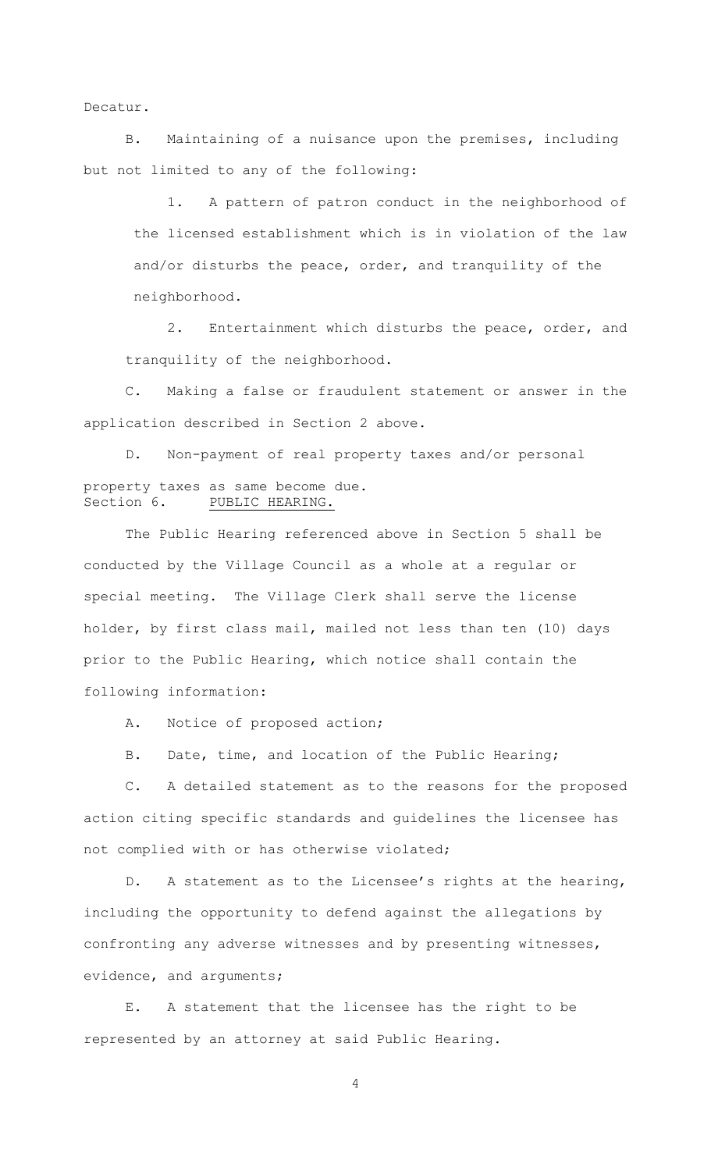Decatur.

B. Maintaining of a nuisance upon the premises, including but not limited to any of the following:

1. A pattern of patron conduct in the neighborhood of the licensed establishment which is in violation of the law and/or disturbs the peace, order, and tranquility of the neighborhood.

2. Entertainment which disturbs the peace, order, and tranquility of the neighborhood.

C. Making a false or fraudulent statement or answer in the application described in Section 2 above.

D. Non-payment of real property taxes and/or personal property taxes as same become due. Section 6. PUBLIC HEARING.

The Public Hearing referenced above in Section 5 shall be conducted by the Village Council as a whole at a regular or special meeting. The Village Clerk shall serve the license holder, by first class mail, mailed not less than ten (10) days prior to the Public Hearing, which notice shall contain the following information:

A. Notice of proposed action;

B. Date, time, and location of the Public Hearing;

C. A detailed statement as to the reasons for the proposed action citing specific standards and guidelines the licensee has not complied with or has otherwise violated;

D. A statement as to the Licensee's rights at the hearing, including the opportunity to defend against the allegations by confronting any adverse witnesses and by presenting witnesses, evidence, and arguments;

E. A statement that the licensee has the right to be represented by an attorney at said Public Hearing.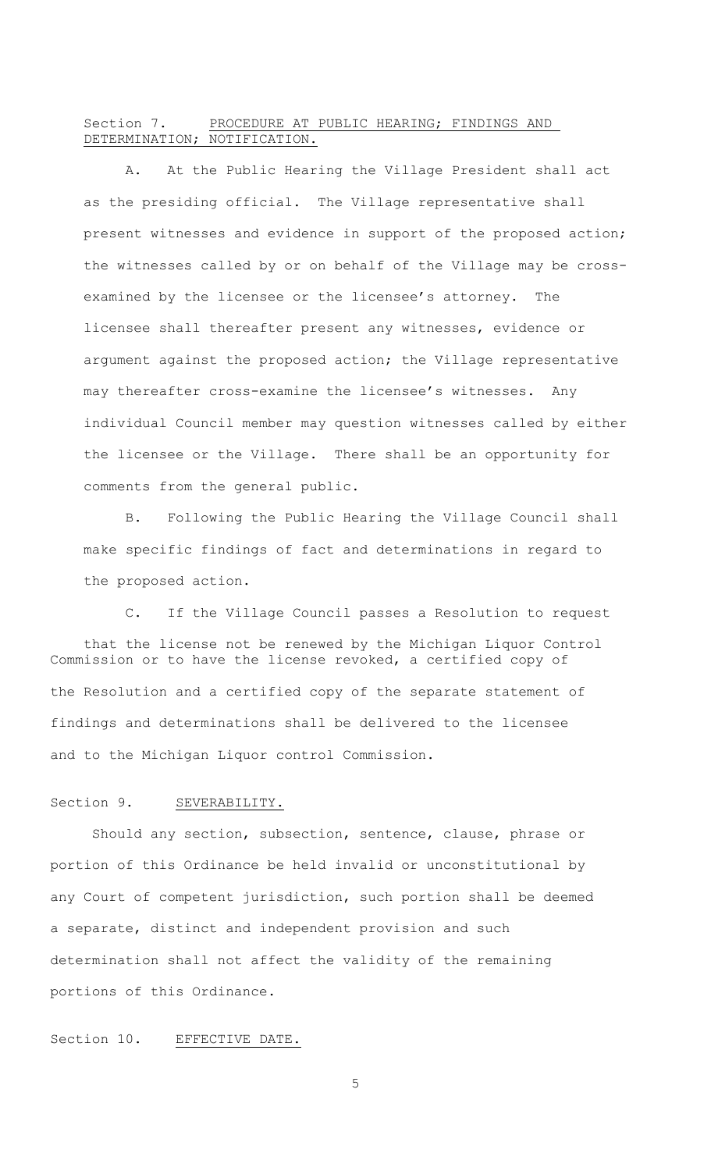# Section 7. PROCEDURE AT PUBLIC HEARING; FINDINGS AND DETERMINATION; NOTIFICATION.

A. At the Public Hearing the Village President shall act as the presiding official. The Village representative shall present witnesses and evidence in support of the proposed action; the witnesses called by or on behalf of the Village may be crossexamined by the licensee or the licensee's attorney. The licensee shall thereafter present any witnesses, evidence or argument against the proposed action; the Village representative may thereafter cross-examine the licensee's witnesses. Any individual Council member may question witnesses called by either the licensee or the Village. There shall be an opportunity for comments from the general public.

B. Following the Public Hearing the Village Council shall make specific findings of fact and determinations in regard to the proposed action.

C. If the Village Council passes a Resolution to request that the license not be renewed by the Michigan Liquor Control Commission or to have the license revoked, a certified copy of the Resolution and a certified copy of the separate statement of findings and determinations shall be delivered to the licensee and to the Michigan Liquor control Commission.

#### Section 9. SEVERABILITY.

Should any section, subsection, sentence, clause, phrase or portion of this Ordinance be held invalid or unconstitutional by any Court of competent jurisdiction, such portion shall be deemed a separate, distinct and independent provision and such determination shall not affect the validity of the remaining portions of this Ordinance.

Section 10. EFFECTIVE DATE.